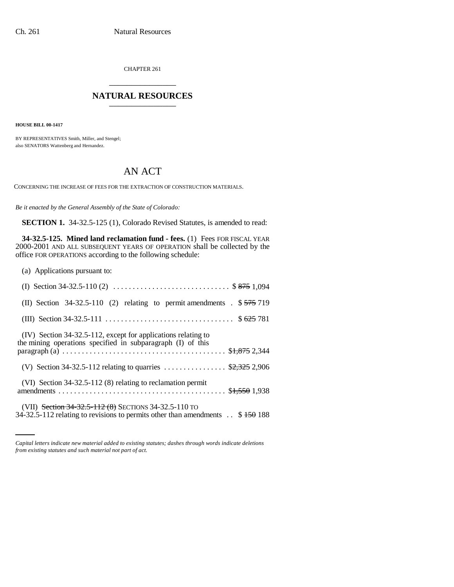CHAPTER 261 \_\_\_\_\_\_\_\_\_\_\_\_\_\_\_

## **NATURAL RESOURCES**

**HOUSE BILL 00-1417** 

BY REPRESENTATIVES Smith, Miller, and Stengel; also SENATORS Wattenberg and Hernandez.

## AN ACT

CONCERNING THE INCREASE OF FEES FOR THE EXTRACTION OF CONSTRUCTION MATERIALS.

*Be it enacted by the General Assembly of the State of Colorado:*

**SECTION 1.** 34-32.5-125 (1), Colorado Revised Statutes, is amended to read:

**34-32.5-125. Mined land reclamation fund - fees.** (1) Fees FOR FISCAL YEAR 2000-2001 AND ALL SUBSEQUENT YEARS OF OPERATION shall be collected by the office FOR OPERATIONS according to the following schedule:

(a) Applications pursuant to:

| (II) Section $34-32.5-110$ (2) relating to permit amendments $\sqrt{575}719$                                                                        |
|-----------------------------------------------------------------------------------------------------------------------------------------------------|
|                                                                                                                                                     |
| (IV) Section 34-32.5-112, except for applications relating to<br>the mining operations specified in subparagraph (I) of this                        |
| (V) Section 34-32.5-112 relating to quarries  \$2,325 2,906                                                                                         |
| (VI) Section 34-32.5-112 (8) relating to reclamation permit                                                                                         |
| (VII) Section 34-32.5-112 (8) SECTIONS 34-32.5-110 TO<br>34-32.5-112 relating to revisions to permits other than amendments $\therefore$ \$150, 188 |

*Capital letters indicate new material added to existing statutes; dashes through words indicate deletions from existing statutes and such material not part of act.*